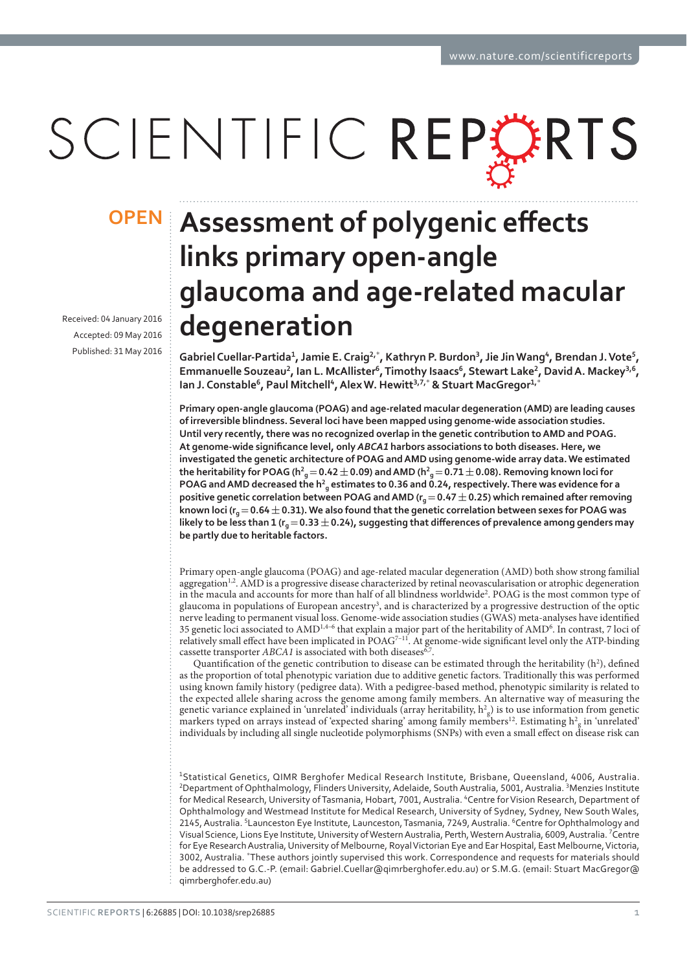# SCIENTIFIC REP FRIS

Received: 04 January 2016 Accepted: 09 May 2016 Published: 31 May 2016

## **ơ OPENlinks primary open-angle glaucoma and age-related macular degeneration**

**Gabriel Cuellar-Partida<sup>ͷ</sup>, Jamie E. Craig,**\* **, Kathryn P. Burdon, Jie Jin Wang<sup>ͺ</sup>, Brendan J. Vote<sup>ͻ</sup>, Emmanuelle Souzeau, Ian L. McAllister<sup>ͼ</sup>, Timothy Isaacs<sup>ͼ</sup>, Stewart Lake, David A. Mackey,<sup>ͼ</sup>, Ian J. Constable<sup>ͼ</sup>, Paul Mitchell<sup>ͺ</sup>, Alex W. Hewitt,ͽ,**\*  **& Stuart MacGregor<sup>ͷ</sup>,**\*

**Primary open-angle glaucoma (POAG) and age-related macular degeneration (AMD) are leading causes of irreversible blindness. Several loci have been mapped using genome-wide association studies. Until very recently, there was no recognized overlap in the genetic contribution to AMD and POAG.**  At genome-wide significance level, only ABCA1 harbors associations to both diseases. Here, we **investigated the genetic architecture of POAG and AMD using genome-wide array data. We estimated**   $t$ he heritability for POAG (h $^2$ <sub>g</sub>  $=$  0.42  $\pm$  0.09) and AMD (h $^2$ <sub>g</sub>  $=$  0.71  $\pm$  0.08). Removing known loci for **POAG** and AMD decreased the h<sup>2</sup><sub>g</sub> estimates to 0.36 and 0.24, respectively. There was evidence for a **positive genetic correlation between POAG and AMD (** $r_a$  **= 0.47**  $\pm$  **0.25) which remained after removing**  $\kappa$ nown loci (r $_{g}$   $=$  0.64  $\pm$  0.31). We also found that the genetic correlation between sexes for POAG was likely to be less than 1 ( $r_q = 0.33 \pm 0.24$ ), suggesting that differences of prevalence among genders may **be partly due to heritable factors.**

Primary open-angle glaucoma (POAG) and age-related macular degeneration (AMD) both show strong familial aggregation<sup>1,2</sup>. AMD is a progressive disease characterized by retinal neovascularisation or atrophic degeneration in the macula and accounts for more than half of all blindness worldwide<sup>2</sup>. POAG is the most common type of glaucoma in populations of European ancestry<sup>3</sup>, and is characterized by a progressive destruction of the optic nerve leading to permanent visual loss. Genome-wide association studies (GWAS) meta-analyses have identified 35 genetic loci associated to AMD<sup>1,4-6</sup> that explain a major part of the heritability of AMD<sup>6</sup>. In contrast, 7 loci of relatively small effect have been implicated in POAG<sup>7-11</sup>. At genome-wide significant level only the ATP-binding cassette transporter  $ABCA1$  is associated with both diseases<sup>6,7</sup>

Quantification of the genetic contribution to disease can be estimated through the heritability  $(h^2)$ , defined as the proportion of total phenotypic variation due to additive genetic factors. Traditionally this was performed using known family history (pedigree data). With a pedigree-based method, phenotypic similarity is related to the expected allele sharing across the genome among family members. An alternative way of measuring the genetic variance explained in 'unrelated' individuals (array heritability,  $h^2_{\rm g}$ ) is to use information from genetic markers typed on arrays instead of 'expected sharing' among family members<sup>12</sup>. Estimating  $h_g^2$  in 'unrelated' individuals by including all single nucleotide polymorphisms (SNPs) with even a small effect on disease risk can

<sup>1</sup>Statistical Genetics, QIMR Berghofer Medical Research Institute, Brisbane, Queensland, 4006, Australia. <sup>2</sup>Department of Ophthalmology, Flinders University, Adelaide, South Australia, 5001, Australia. <sup>3</sup>Menzies Institute for Medical Research, University of Tasmania, Hobart, 7001, Australia. <sup>4</sup>Centre for Vision Research, Department of Ophthalmology and Westmead Institute for Medical Research, University of Sydney, Sydney, New South Wales, 2145, Australia. <sup>5</sup>Launceston Eye Institute, Launceston, Tasmania, 7249, Australia. <sup>6</sup>Centre for Ophthalmology and Visual Science, Lions Eye Institute, University of Western Australia, Perth, Western Australia, 6009, Australia. <sup>7</sup>Centre for Eye Research Australia, University of Melbourne, Royal Victorian Eye and Ear Hospital, East Melbourne, Victoria, 3002, Australia. \*These authors jointly supervised this work. Correspondence and requests for materials should be addressed to G.C.-P. (email: Gabriel.Cuellar@qimrberghofer.edu.au) or S.M.G. (email: Stuart MacGregor@ qimrberghofer.edu.au)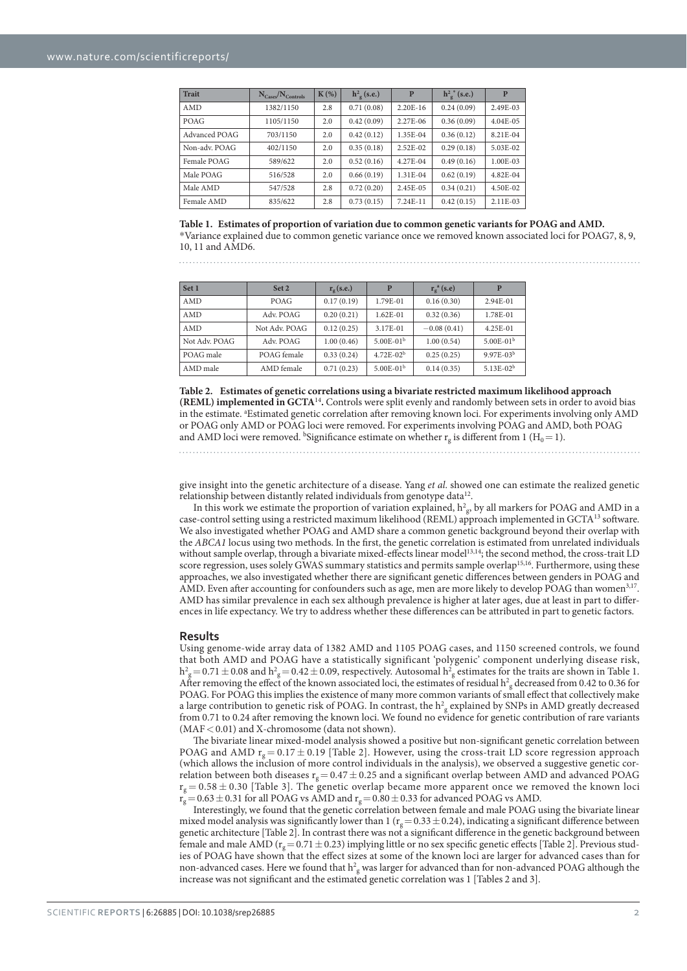| <b>Trait</b>  | $N_{\text{Cases}}/N_{\text{Controls}}$ | $K(\%)$ | $h^2$ <sub>o</sub> (s.e.) | P          | $h^{2}_{\sigma}$ (s.e.) | P            |
|---------------|----------------------------------------|---------|---------------------------|------------|-------------------------|--------------|
| AMD           | 1382/1150                              | 2.8     | 0.71(0.08)                | $2.20E-16$ | 0.24(0.09)              | 2.49E-03     |
| POAG          | 1105/1150                              | 2.0     | 0.42(0.09)                | 2.27E-06   | 0.36(0.09)              | $4.04E - 05$ |
| Advanced POAG | 703/1150                               | 2.0     | 0.42(0.12)                | 1.35E-04   | 0.36(0.12)              | 8.21E-04     |
| Non-adv. POAG | 402/1150                               | 2.0     | 0.35(0.18)                | $2.52E-02$ | 0.29(0.18)              | 5.03E-02     |
| Female POAG   | 589/622                                | 2.0     | 0.52(0.16)                | 4.27E-04   | 0.49(0.16)              | 1.00E-03     |
| Male POAG     | 516/528                                | 2.0     | 0.66(0.19)                | 1.31E-04   | 0.62(0.19)              | 4.82E-04     |
| Male AMD      | 547/528                                | 2.8     | 0.72(0.20)                | 2.45E-05   | 0.34(0.21)              | 4.50E-02     |
| Female AMD    | 835/622                                | 2.8     | 0.73(0.15)                | 7.24E-11   | 0.42(0.15)              | 2.11E-03     |

**Table 1. Estimates of proportion of variation due to common genetic variants for POAG and AMD.** \*Variance explained due to common genetic variance once we removed known associated loci for POAG7, 8, 9, 10, 11 and AMD6.

| Set 1         | Set 2         | $r_{\rm o}$ (s.e.) | P                     | $r_{\rm o}^{\rm a}$ (s.e) | P           |
|---------------|---------------|--------------------|-----------------------|---------------------------|-------------|
| AMD           | POAG          | 0.17(0.19)         | 1.79E-01              | 0.16(0.30)                | 2.94E-01    |
| AMD           | Adv. POAG     | 0.20(0.21)         | $1.62E - 01$          | 0.32(0.36)                | 1.78E-01    |
| AMD           | Not Adv. POAG | 0.12(0.25)         | 3.17E-01              | $-0.08(0.41)$             | $4.25E-01$  |
| Not Adv. POAG | Adv. POAG     | 1.00(0.46)         | 5.00E-01 <sup>b</sup> | 1.00(0.54)                | $5.00E-01b$ |
| POAG male     | POAG female   | 0.33(0.24)         | $4.72E - 02b$         | 0.25(0.25)                | $9.97E-03b$ |
| AMD male      | AMD female    | 0.71(0.23)         | $5.00E - 01b$         | 0.14(0.35)                | $5.13E-02b$ |

**Table 2. Estimates of genetic correlations using a bivariate restricted maximum likelihood approach (REML) implemented in GCTA**<sup>14</sup>**.** Controls were split evenly and randomly between sets in order to avoid bias in the estimate. <sup>a</sup>Estimated genetic correlation after removing known loci. For experiments involving only AMD or POAG only AMD or POAG loci were removed. For experiments involving POAG and AMD, both POAG and AMD loci were removed. <sup>b</sup>Significance estimate on whether  $r_g$  is different from 1 (H<sub>0</sub> = 1).

give insight into the genetic architecture of a disease. Yang et al. showed one can estimate the realized genetic relationship between distantly related individuals from genotype data<sup>12</sup>.

In this work we estimate the proportion of variation explained,  $h^2_{\text{g}}$ , by all markers for POAG and AMD in a case-control setting using a restricted maximum likelihood (REML) approach implemented in GCTA13 software. We also investigated whether POAG and AMD share a common genetic background beyond their overlap with the ABCA1 locus using two methods. In the first, the genetic correlation is estimated from unrelated individuals without sample overlap, through a bivariate mixed-effects linear model<sup>13,14</sup>; the second method, the cross-trait LD score regression, uses solely GWAS summary statistics and permits sample overlap<sup>15,16</sup>. Furthermore, using these approaches, we also investigated whether there are significant genetic differences between genders in POAG and AMD. Even after accounting for confounders such as age, men are more likely to develop POAG than women<sup>3,17</sup>. AMD has similar prevalence in each sex although prevalence is higher at later ages, due at least in part to differences in life expectancy. We try to address whether these differences can be attributed in part to genetic factors.

#### Results

Using genome-wide array data of 1382 AMD and 1105 POAG cases, and 1150 screened controls, we found that both AMD and POAG have a statistically significant 'polygenic' component underlying disease risk,  $h^2_{\rm g}$  = 0.71  $\pm$  0.08 and  $h^2_{\rm g}$  = 0.42  $\pm$  0.09, respectively. Autosomal  $h^2_{\rm g}$  estimates for the traits are shown in Table 1. After removing the effect of the known associated loci, the estimates of residual  $h_g^2$  decreased from 0.42 to 0.36 for POAG. For POAG this implies the existence of many more common variants of small effect that collectively make a large contribution to genetic risk of POAG. In contrast, the  $h^2$ <sub>g</sub> explained by SNPs in AMD greatly decreased from 0.71 to 0.24 after removing the known loci. We found no evidence for genetic contribution of rare variants (MAF < 0.01) and X-chromosome (data not shown).

The bivariate linear mixed-model analysis showed a positive but non-significant genetic correlation between POAG and AMD  $r_g = 0.17 \pm 0.19$  [Table 2]. However, using the cross-trait LD score regression approach (which allows the inclusion of more control individuals in the analysis), we observed a suggestive genetic correlation between both diseases  $r_g = 0.47 \pm 0.25$  and a significant overlap between AMD and advanced POAG  $r_g = 0.58 \pm 0.30$  [Table 3]. The genetic overlap became more apparent once we removed the known loci  $r_g = 0.63 \pm 0.31$  for all POAG vs AMD and  $r_g = 0.80 \pm 0.33$  for advanced POAG vs AMD.

Interestingly, we found that the genetic correlation between female and male POAG using the bivariate linear mixed model analysis was significantly lower than 1 ( $r_g$  = 0.33  $\pm$  0.24), indicating a significant difference between genetic architecture [Table 2]. In contrast there was not a significant difference in the genetic background between female and male AMD ( $r_g = 0.71 \pm 0.23$ ) implying little or no sex specific genetic effects [Table 2]. Previous studies of POAG have shown that the effect sizes at some of the known loci are larger for advanced cases than for non-advanced cases. Here we found that  $h_{\rm g}^2$  was larger for advanced than for non-advanced POAG although the increase was not significant and the estimated genetic correlation was 1 [Tables 2 and 3].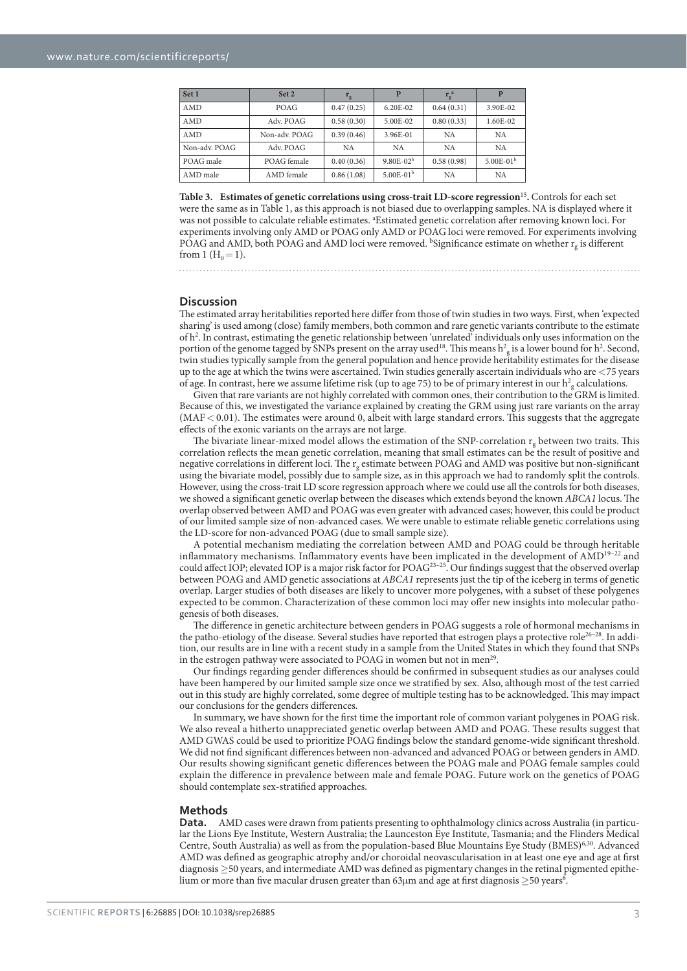| Set 1         | Set 2         | $r_{\rm g}$ | P             | $r_{\rm g}^{\rm a}$ | P             |
|---------------|---------------|-------------|---------------|---------------------|---------------|
| AMD           | <b>POAG</b>   | 0.47(0.25)  | $6.20E - 02$  | 0.64(0.31)          | 3.90E-02      |
| <b>AMD</b>    | Adv. POAG     | 0.58(0.30)  | 5.00E-02      | 0.80(0.33)          | 1.60E-02      |
| <b>AMD</b>    | Non-adv. POAG | 0.39(0.46)  | 3.96E-01      | <b>NA</b>           | <b>NA</b>     |
| Non-adv. POAG | Adv. POAG     | <b>NA</b>   | <b>NA</b>     | <b>NA</b>           | <b>NA</b>     |
| POAG male     | POAG female   | 0.40(0.36)  | $9.80E - 02b$ | 0.58(0.98)          | $5.00E - 01b$ |
| AMD male      | AMD female    | 0.86(1.08)  | $5.00E-01b$   | <b>NA</b>           | <b>NA</b>     |

**Table 3. Estimates of genetic correlations using cross-trait LD-score regression**<sup>15</sup>**.** Controls for each set were the same as in Table 1, as this approach is not biased due to overlapping samples. NA is displayed where it was not possible to calculate reliable estimates. <sup>a</sup>Estimated genetic correlation after removing known loci. For experiments involving only AMD or POAG only AMD or POAG loci were removed. For experiments involving POAG and AMD, both POAG and AMD loci were removed. <sup>b</sup>Significance estimate on whether  $r_g$  is different from 1  $(H_0 = 1)$ .

. . . . . . . . . . . . . . . . . . .

### **Discussion**

The estimated array heritabilities reported here differ from those of twin studies in two ways. First, when 'expected sharing' is used among (close) family members, both common and rare genetic variants contribute to the estimate of h<sup>2</sup>. In contrast, estimating the genetic relationship between 'unrelated' individuals only uses information on the portion of the genome tagged by SNPs present on the array used<sup>18</sup>. This means  $h^2$  is a lower bound for  $h^2$ . Second, twin studies typically sample from the general population and hence provide heritability estimates for the disease up to the age at which the twins were ascertained. Twin studies generally ascertain individuals who are < 75 years of age. In contrast, here we assume lifetime risk (up to age 75) to be of primary interest in our  $h_g^2$  calculations.

Given that rare variants are not highly correlated with common ones, their contribution to the GRM is limited. Because of this, we investigated the variance explained by creating the GRM using just rare variants on the array (MAF < 0.01). The estimates were around 0, albeit with large standard errors. This suggests that the aggregate effects of the exonic variants on the arrays are not large.

The bivariate linear-mixed model allows the estimation of the SNP-correlation  $r_g$  between two traits. This correlation reflects the mean genetic correlation, meaning that small estimates can be the result of positive and negative correlations in different loci. The r<sub>g</sub> estimate between POAG and AMD was positive but non-significant using the bivariate model, possibly due to sample size, as in this approach we had to randomly split the controls. However, using the cross-trait LD score regression approach where we could use all the controls for both diseases, we showed a significant genetic overlap between the diseases which extends beyond the known ABCA1 locus. The overlap observed between AMD and POAG was even greater with advanced cases; however, this could be product of our limited sample size of non-advanced cases. We were unable to estimate reliable genetic correlations using the LD-score for non-advanced POAG (due to small sample size).

A potential mechanism mediating the correlation between AMD and POAG could be through heritable inflammatory mechanisms. Inflammatory events have been implicated in the development of AMD<sup>19-22</sup> and could affect IOP; elevated IOP is a major risk factor for  $POAG^{23-25}$ . Our findings suggest that the observed overlap between POAG and AMD genetic associations at ABCA1 represents just the tip of the iceberg in terms of genetic overlap. Larger studies of both diseases are likely to uncover more polygenes, with a subset of these polygenes expected to be common. Characterization of these common loci may offer new insights into molecular pathogenesis of both diseases.

The difference in genetic architecture between genders in POAG suggests a role of hormonal mechanisms in the patho-etiology of the disease. Several studies have reported that estrogen plays a protective role<sup>26-28</sup>. In addition, our results are in line with a recent study in a sample from the United States in which they found that SNPs in the estrogen pathway were associated to POAG in women but not in men<sup>29</sup>.

Our findings regarding gender differences should be confirmed in subsequent studies as our analyses could have been hampered by our limited sample size once we stratified by sex. Also, although most of the test carried out in this study are highly correlated, some degree of multiple testing has to be acknowledged. This may impact our conclusions for the genders differences.

In summary, we have shown for the first time the important role of common variant polygenes in POAG risk. We also reveal a hitherto unappreciated genetic overlap between AMD and POAG. These results suggest that AMD GWAS could be used to prioritize POAG findings below the standard genome-wide significant threshold. We did not find significant differences between non-advanced and advanced POAG or between genders in AMD. Our results showing significant genetic differences between the POAG male and POAG female samples could explain the difference in prevalence between male and female POAG. Future work on the genetics of POAG should contemplate sex-stratified approaches.

#### **Methods**

**Data.** AMD cases were drawn from patients presenting to ophthalmology clinics across Australia (in particular the Lions Eye Institute, Western Australia; the Launceston Eye Institute, Tasmania; and the Flinders Medical Centre, South Australia) as well as from the population-based Blue Mountains Eye Study (BMES)6,30. Advanced AMD was defined as geographic atrophy and/or choroidal neovascularisation in at least one eye and age at first diagnosis ≥ 50 years, and intermediate AMD was defined as pigmentary changes in the retinal pigmented epithelium or more than five macular drusen greater than 63µm and age at first diagnosis  $\geq$ 50 years<sup>6</sup>.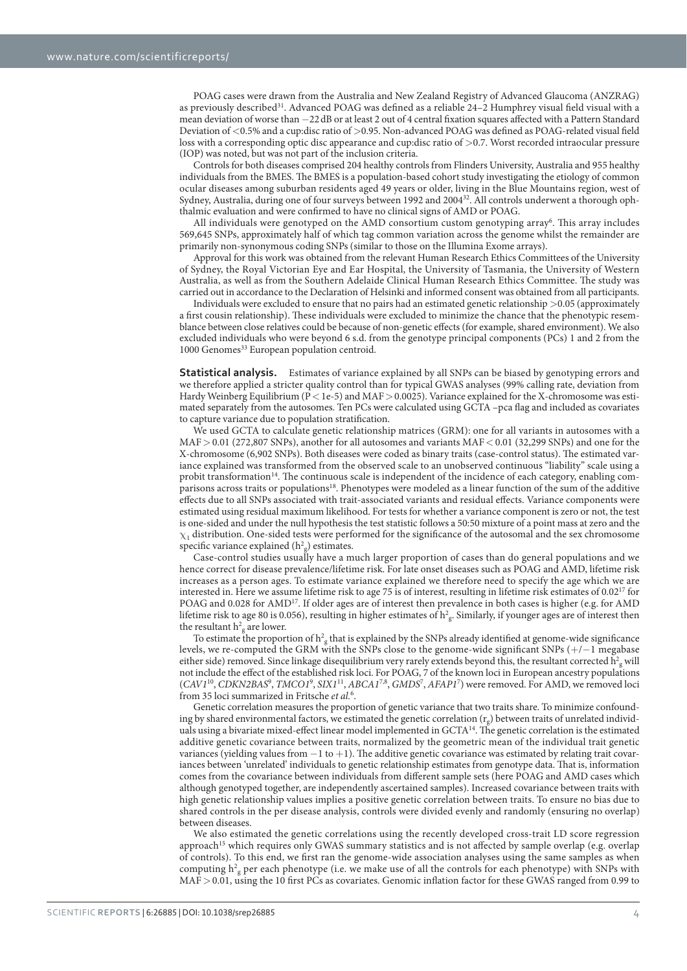POAG cases were drawn from the Australia and New Zealand Registry of Advanced Glaucoma (ANZRAG) as previously described<sup>31</sup>. Advanced POAG was defined as a reliable 24-2 Humphrey visual field visual with a mean deviation of worse than −22 dB or at least 2 out of 4 central fixation squares affected with a Pattern Standard Deviation of < 0.5% and a cup:disc ratio of > 0.95. Non-advanced POAG was defined as POAG-related visual field loss with a corresponding optic disc appearance and cup:disc ratio of >0.7. Worst recorded intraocular pressure (IOP) was noted, but was not part of the inclusion criteria.

Controls for both diseases comprised 204 healthy controls from Flinders University, Australia and 955 healthy individuals from the BMES. The BMES is a population-based cohort study investigating the etiology of common ocular diseases among suburban residents aged 49 years or older, living in the Blue Mountains region, west of Sydney, Australia, during one of four surveys between 1992 and 200432. All controls underwent a thorough ophthalmic evaluation and were confirmed to have no clinical signs of AMD or POAG.

All individuals were genotyped on the AMD consortium custom genotyping array<sup>6</sup>. This array includes 569,645 SNPs, approximately half of which tag common variation across the genome whilst the remainder are primarily non-synonymous coding SNPs (similar to those on the Illumina Exome arrays).

Approval for this work was obtained from the relevant Human Research Ethics Committees of the University of Sydney, the Royal Victorian Eye and Ear Hospital, the University of Tasmania, the University of Western Australia, as well as from the Southern Adelaide Clinical Human Research Ethics Committee. The study was carried out in accordance to the Declaration of Helsinki and informed consent was obtained from all participants.

Individuals were excluded to ensure that no pairs had an estimated genetic relationship > 0.05 (approximately a first cousin relationship). These individuals were excluded to minimize the chance that the phenotypic resemblance between close relatives could be because of non-genetic effects (for example, shared environment). We also excluded individuals who were beyond 6 s.d. from the genotype principal components (PCs) 1 and 2 from the 1000 Genomes<sup>33</sup> European population centroid.

**Statistical analysis.** Estimates of variance explained by all SNPs can be biased by genotyping errors and we therefore applied a stricter quality control than for typical GWAS analyses (99% calling rate, deviation from Hardy Weinberg Equilibrium (P < 1e-5) and MAF > 0.0025). Variance explained for the X-chromosome was estimated separately from the autosomes. Ten PCs were calculated using GCTA –pca flag and included as covariates to capture variance due to population stratification.

We used GCTA to calculate genetic relationship matrices (GRM): one for all variants in autosomes with a MAF > 0.01 (272,807 SNPs), another for all autosomes and variants MAF < 0.01 (32,299 SNPs) and one for the X-chromosome (6,902 SNPs). Both diseases were coded as binary traits (case-control status). The estimated variance explained was transformed from the observed scale to an unobserved continuous "liability" scale using a probit transformation<sup>14</sup>. The continuous scale is independent of the incidence of each category, enabling comparisons across traits or populations18. Phenotypes were modeled as a linear function of the sum of the additive effects due to all SNPs associated with trait-associated variants and residual effects. Variance components were estimated using residual maximum likelihood. For tests for whether a variance component is zero or not, the test is one-sided and under the null hypothesis the test statistic follows a 50:50 mixture of a point mass at zero and the  $\chi_1$  distribution. One-sided tests were performed for the significance of the autosomal and the sex chromosome specific variance explained  $(h<sup>2</sup><sub>g</sub>)$  estimates.

Case-control studies usually have a much larger proportion of cases than do general populations and we hence correct for disease prevalence/lifetime risk. For late onset diseases such as POAG and AMD, lifetime risk increases as a person ages. To estimate variance explained we therefore need to specify the age which we are interested in. Here we assume lifetime risk to age 75 is of interest, resulting in lifetime risk estimates of 0.0217 for POAG and 0.028 for AMD<sup>17</sup>. If older ages are of interest then prevalence in both cases is higher (e.g. for AMD lifetime risk to age 80 is 0.056), resulting in higher estimates of  $h_g^2$ . Similarly, if younger ages are of interest then the resultant  $h^2$ <sub>g</sub> are lower.

To estimate the proportion of  $h^2_{g}$  that is explained by the SNPs already identified at genome-wide significance levels, we re-computed the GRM with the SNPs close to the genome-wide significant SNPs (+ /− 1 megabase either side) removed. Since linkage disequilibrium very rarely extends beyond this, the resultant corrected  $\rm h_{\rm g}^2$  will not include the effect of the established risk loci. For POAG, 7 of the known loci in European ancestry populations (CAV1<sup>10</sup>, CDKN2BAS<sup>9</sup>, TMCO1<sup>9</sup>, SIX1<sup>11</sup>, ABCA1<sup>7,8</sup>, GMDS<sup>7</sup>, AFAP1<sup>7</sup>) were removed. For AMD, we removed loci from 35 loci summarized in Fritsche et al.<sup>6</sup>.

Genetic correlation measures the proportion of genetic variance that two traits share. To minimize confounding by shared environmental factors, we estimated the genetic correlation  $(r_g)$  between traits of unrelated individuals using a bivariate mixed-effect linear model implemented in GCTA<sup>14</sup>. The genetic correlation is the estimated additive genetic covariance between traits, normalized by the geometric mean of the individual trait genetic variances (yielding values from  $-1$  to  $+1$ ). The additive genetic covariance was estimated by relating trait covariances between 'unrelated' individuals to genetic relationship estimates from genotype data. That is, information comes from the covariance between individuals from different sample sets (here POAG and AMD cases which although genotyped together, are independently ascertained samples). Increased covariance between traits with high genetic relationship values implies a positive genetic correlation between traits. To ensure no bias due to shared controls in the per disease analysis, controls were divided evenly and randomly (ensuring no overlap) between diseases.

We also estimated the genetic correlations using the recently developed cross-trait LD score regression approach<sup>15</sup> which requires only GWAS summary statistics and is not affected by sample overlap (e.g. overlap of controls). To this end, we first ran the genome-wide association analyses using the same samples as when computing  $h^2$ <sub>g</sub> per each phenotype (i.e. we make use of all the controls for each phenotype) with SNPs with MAF > 0.01, using the 10 first PCs as covariates. Genomic inflation factor for these GWAS ranged from 0.99 to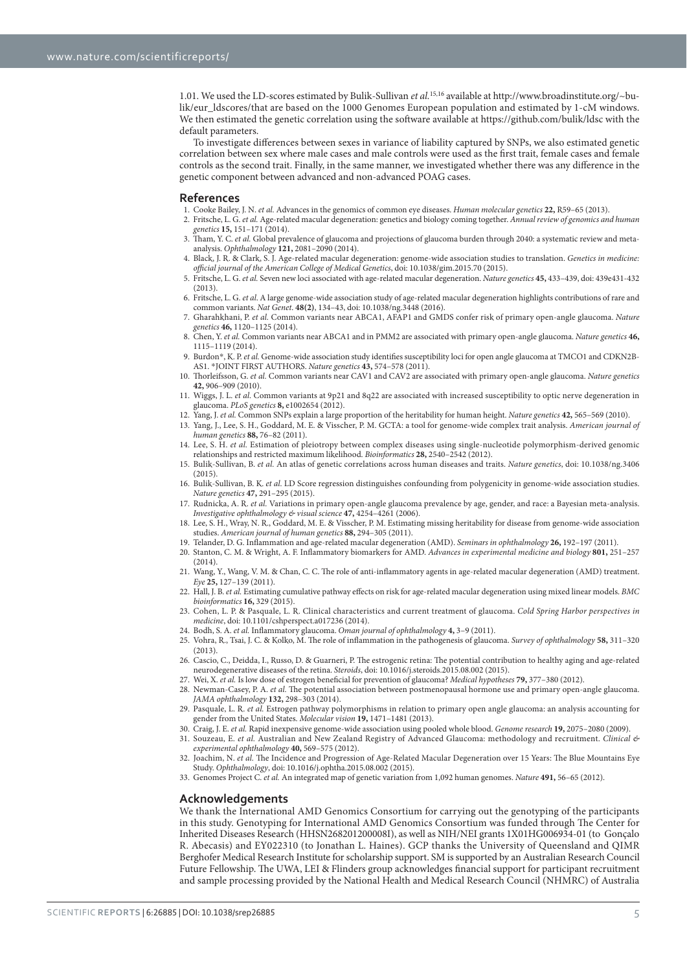1.01. We used the LD-scores estimated by Bulik-Sullivan et al.<sup>15,16</sup> available at http://www.broadinstitute.org/~bulik/eur\_ldscores/that are based on the 1000 Genomes European population and estimated by 1-cM windows. We then estimated the genetic correlation using the software available at https://github.com/bulik/ldsc with the default parameters.

To investigate differences between sexes in variance of liability captured by SNPs, we also estimated genetic correlation between sex where male cases and male controls were used as the first trait, female cases and female controls as the second trait. Finally, in the same manner, we investigated whether there was any difference in the genetic component between advanced and non-advanced POAG cases.

#### **References**

- 1. Cooke Bailey, J. N. et al. Advances in the genomics of common eye diseases. Human molecular genetics **22,** R59–65 (2013).
- 2. Fritsche, L. G. et al. Age-related macular degeneration: genetics and biology coming together. Annual review of genomics and human genetics **15,** 151–171 (2014). Tham, Y. C. et al. Global prevalence of glaucoma and projections of glaucoma burden through 2040: a systematic review and meta-
- analysis. Ophthalmology **121,** 2081–2090 (2014). 4. Black, J. R. & Clark, S. J. Age-related macular degeneration: genome-wide association studies to translation. Genetics in medicine:
- official journal of the American College of Medical Genetics, doi: 10.1038/gim.2015.70 (2015). 5. Fritsche, L. G. et al. Seven new loci associated with age-related macular degeneration. Nature genetics **45,** 433–439, doi: 439e431-432
- (2013). 6. Fritsche, L. G. et al. A large genome-wide association study of age-related macular degeneration highlights contributions of rare and
- common variants. Nat Genet. **48(2)**, 134–43, doi: 10.1038/ng.3448 (2016).
- 7. Gharahkhani, P. et al. Common variants near ABCA1, AFAP1 and GMDS confer risk of primary open-angle glaucoma. Nature genetics **46,** 1120–1125 (2014). 8. Chen, Y. et al. Common variants near ABCA1 and in PMM2 are associated with primary open-angle glaucoma. Nature genetics **46,**
- 1115–1119 (2014).
- 9. Burdon\*, K. P. et al. Genome-wide association study identifies susceptibility loci for open angle glaucoma at TMCO1 and CDKN2B-AS1. \* JOINT FIRST AUTHORS. Nature genetics **43,** 574–578 (2011).
- 10. Thorleifsson, G. et al. Common variants near CAV1 and CAV2 are associated with primary open-angle glaucoma. Nature genetics **42,** 906–909 (2010).
- 11. Wiggs, J. L. et al. Common variants at 9p21 and 8q22 are associated with increased susceptibility to optic nerve degeneration in glaucoma. PLoS genetics **8,** e1002654 (2012).
- 12. Yang, J. et al. Common SNPs explain a large proportion of the heritability for human height. Nature genetics **42,** 565–569 (2010).
- 13. Yang, J., Lee, S. H., Goddard, M. E. & Visscher, P. M. GCTA: a tool for genome-wide complex trait analysis. American journal of human genetics **88,** 76–82 (2011).
- 14. Lee, S. H. et al. Estimation of pleiotropy between complex diseases using single-nucleotide polymorphism-derived genomic relationships and restricted maximum likelihood. Bioinformatics **28,** 2540–2542 (2012).
- 15. Bulik-Sullivan, B. et al. An atlas of genetic correlations across human diseases and traits. Nature genetics, doi: 10.1038/ng.3406  $(2015)$
- 16. Bulik-Sullivan, B. K. et al. LD Score regression distinguishes confounding from polygenicity in genome-wide association studies. Nature genetics **47,** 291–295 (2015).
- 17. Rudnicka, A. R. et al. Variations in primary open-angle glaucoma prevalence by age, gender, and race: a Bayesian meta-analysis. Investigative ophthalmology & visual science **47,** 4254–4261 (2006).
- 18. Lee, S. H., Wray, N. R., Goddard, M. E. & Visscher, P. M. Estimating missing heritability for disease from genome-wide association studies. American journal of human genetics **88,** 294–305 (2011).
- 19. Telander, D. G. Inflammation and age-related macular degeneration (AMD). Seminars in ophthalmology **26,** 192–197 (2011).
- 20. Stanton, C. M. & Wright, A. F. Inflammatory biomarkers for AMD. Advances in experimental medicine and biology **801,** 251–257 (2014).
- 21. Wang, Y., Wang, V. M. & Chan, C. C. The role of anti-inflammatory agents in age-related macular degeneration (AMD) treatment. Eye **25,** 127–139 (2011).
- 22. Hall, J. B. et al. Estimating cumulative pathway effects on risk for age-related macular degeneration using mixed linear models. BMC bioinformatics **16,** 329 (2015).
- 23. Cohen, L. P. & Pasquale, L. R. Clinical characteristics and current treatment of glaucoma. Cold Spring Harbor perspectives in medicine, doi: 10.1101/cshperspect.a017236 (2014).
- 24. Bodh, S. A. et al. Inflammatory glaucoma. Oman journal of ophthalmology **4,** 3–9 (2011).
- 25. Vohra, R., Tsai, J. C. & Kolko, M. The role of inflammation in the pathogenesis of glaucoma. Survey of ophthalmology **58,** 311–320 (2013).
- 26. Cascio, C., Deidda, I., Russo, D. & Guarneri, P. The estrogenic retina: The potential contribution to healthy aging and age-related neurodegenerative diseases of the retina. Steroids, doi: 10.1016/j.steroids.2015.08.002 (2015).
- 27. Wei, X. et al. Is low dose of estrogen beneficial for prevention of glaucoma? Medical hypotheses **79,** 377–380 (2012).
- 28. Newman-Casey, P. A. et al. The potential association between postmenopausal hormone use and primary open-angle glaucoma. JAMA ophthalmology **132,** 298–303 (2014).
- 29. Pasquale, L. R. et al. Estrogen pathway polymorphisms in relation to primary open angle glaucoma: an analysis accounting for gender from the United States. Molecular vision **19,** 1471–1481 (2013).
- 30. Craig, J. E. et al. Rapid inexpensive genome-wide association using pooled whole blood. Genome research **19,** 2075–2080 (2009).
- 31. Souzeau, E. et al. Australian and New Zealand Registry of Advanced Glaucoma: methodology and recruitment. Clinical & experimental ophthalmology **40,** 569–575 (2012).
- 32. Joachim, N. et al. The Incidence and Progression of Age-Related Macular Degeneration over 15 Years: The Blue Mountains Eye Study. Ophthalmology, doi: 10.1016/j.ophtha.2015.08.002 (2015).
- 33. Genomes Project C. et al. An integrated map of genetic variation from 1,092 human genomes. Nature **491,** 56–65 (2012).

#### **Acknowledgements**

We thank the International AMD Genomics Consortium for carrying out the genotyping of the participants in this study. Genotyping for International AMD Genomics Consortium was funded through The Center for Inherited Diseases Research (HHSN268201200008I), as well as NIH/NEI grants 1X01HG006934-01 (to Gonçalo R. Abecasis) and EY022310 (to Jonathan L. Haines). GCP thanks the University of Queensland and QIMR Berghofer Medical Research Institute for scholarship support. SM is supported by an Australian Research Council Future Fellowship. The UWA, LEI & Flinders group acknowledges financial support for participant recruitment and sample processing provided by the National Health and Medical Research Council (NHMRC) of Australia